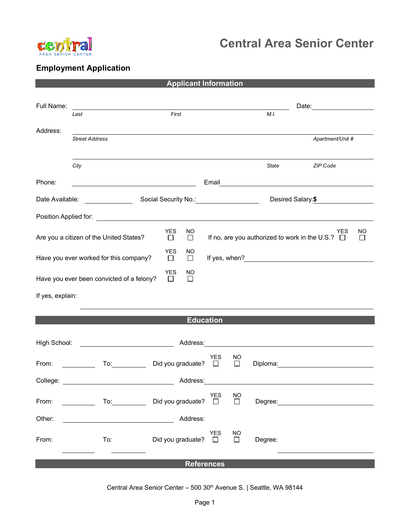

## **Central Area Senior Center**

## **Employment Application**

| <b>Applicant Information</b>                                                                                                                                                                                                   |                                                                                                                                                                                                                                |  |                             |                                    |                     |                                                                     |                                                                                                                                                                                                                                |  |  |
|--------------------------------------------------------------------------------------------------------------------------------------------------------------------------------------------------------------------------------|--------------------------------------------------------------------------------------------------------------------------------------------------------------------------------------------------------------------------------|--|-----------------------------|------------------------------------|---------------------|---------------------------------------------------------------------|--------------------------------------------------------------------------------------------------------------------------------------------------------------------------------------------------------------------------------|--|--|
| Full Name:                                                                                                                                                                                                                     |                                                                                                                                                                                                                                |  |                             |                                    |                     |                                                                     |                                                                                                                                                                                                                                |  |  |
|                                                                                                                                                                                                                                | Last                                                                                                                                                                                                                           |  | First                       |                                    |                     | M.I.                                                                |                                                                                                                                                                                                                                |  |  |
| Address:                                                                                                                                                                                                                       | <b>Street Address</b>                                                                                                                                                                                                          |  |                             | Apartment/Unit #                   |                     |                                                                     |                                                                                                                                                                                                                                |  |  |
|                                                                                                                                                                                                                                | City                                                                                                                                                                                                                           |  |                             |                                    |                     | State                                                               | ZIP Code                                                                                                                                                                                                                       |  |  |
| Phone:                                                                                                                                                                                                                         |                                                                                                                                                                                                                                |  |                             |                                    |                     |                                                                     | Email <u>___________________________</u>                                                                                                                                                                                       |  |  |
| Date Available:                                                                                                                                                                                                                | Social Security No.: 1990 Married Contract Contract Security No.:                                                                                                                                                              |  |                             |                                    |                     |                                                                     | Desired Salary: \$                                                                                                                                                                                                             |  |  |
|                                                                                                                                                                                                                                |                                                                                                                                                                                                                                |  |                             |                                    |                     |                                                                     |                                                                                                                                                                                                                                |  |  |
| <b>YES</b><br><b>NO</b><br>Are you a citizen of the United States?<br>□<br>$\Box$                                                                                                                                              |                                                                                                                                                                                                                                |  |                             |                                    |                     | <b>YES</b><br>If no, are you authorized to work in the U.S.? $\Box$ | <b>NO</b><br>$\Box$                                                                                                                                                                                                            |  |  |
| <b>YES</b><br><b>NO</b><br>Have you ever worked for this company?<br>$\Box$<br>$\Box$                                                                                                                                          |                                                                                                                                                                                                                                |  |                             |                                    |                     |                                                                     |                                                                                                                                                                                                                                |  |  |
| YES<br>NO.<br>Have you ever been convicted of a felony?<br>$\Box$<br>$\Box$                                                                                                                                                    |                                                                                                                                                                                                                                |  |                             |                                    |                     |                                                                     |                                                                                                                                                                                                                                |  |  |
| If yes, explain:                                                                                                                                                                                                               |                                                                                                                                                                                                                                |  |                             |                                    |                     |                                                                     |                                                                                                                                                                                                                                |  |  |
| <b>Education</b>                                                                                                                                                                                                               |                                                                                                                                                                                                                                |  |                             |                                    |                     |                                                                     |                                                                                                                                                                                                                                |  |  |
| High School:                                                                                                                                                                                                                   |                                                                                                                                                                                                                                |  |                             |                                    |                     |                                                                     |                                                                                                                                                                                                                                |  |  |
| From:                                                                                                                                                                                                                          | To: the contract of the contract of the contract of the contract of the contract of the contract of the contract of the contract of the contract of the contract of the contract of the contract of the contract of the contra |  | Did you graduate? $\square$ | YES                                | <b>NO</b><br>$\Box$ |                                                                     | Diploma: the contract of the contract of the contract of the contract of the contract of the contract of the contract of the contract of the contract of the contract of the contract of the contract of the contract of the c |  |  |
| College: _________                                                                                                                                                                                                             |                                                                                                                                                                                                                                |  | Address:                    |                                    |                     |                                                                     |                                                                                                                                                                                                                                |  |  |
| From: The contract of the contract of the contract of the contract of the contract of the contract of the contract of the contract of the contract of the contract of the contract of the contract of the contract of the cont | To: and the state of the state of the state of the state of the state of the state of the state of the state o                                                                                                                 |  | YES<br>Did you graduate? □  |                                    | $\Box$              |                                                                     | Degree: the contract of the contract of the contract of the contract of the contract of the contract of the contract of the contract of the contract of the contract of the contract of the contract of the contract of the co |  |  |
| Other:                                                                                                                                                                                                                         |                                                                                                                                                                                                                                |  | Address:                    |                                    |                     |                                                                     |                                                                                                                                                                                                                                |  |  |
| From:                                                                                                                                                                                                                          | To:                                                                                                                                                                                                                            |  |                             | YES<br>Did you graduate? $\square$ | <b>NO</b><br>$\Box$ | Degree:                                                             |                                                                                                                                                                                                                                |  |  |
| <b>References</b>                                                                                                                                                                                                              |                                                                                                                                                                                                                                |  |                             |                                    |                     |                                                                     |                                                                                                                                                                                                                                |  |  |

Central Area Senior Center - 500 30<sup>th</sup> Avenue S. | Seattle, WA 98144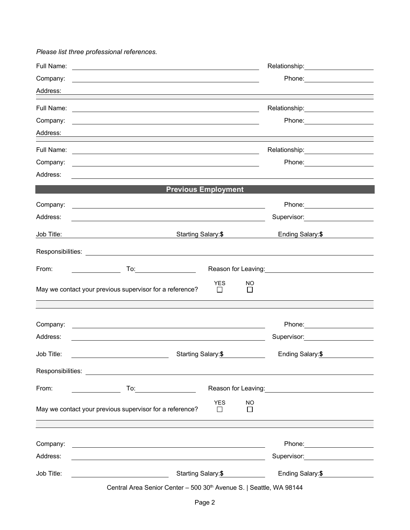*Please list three professional references.*

| Full Name: |                                                                                                                                                                                                                               |                               | Relationship: ___________________                                                                                                                                                                                                    |
|------------|-------------------------------------------------------------------------------------------------------------------------------------------------------------------------------------------------------------------------------|-------------------------------|--------------------------------------------------------------------------------------------------------------------------------------------------------------------------------------------------------------------------------------|
| Company:   |                                                                                                                                                                                                                               |                               |                                                                                                                                                                                                                                      |
| Address:   |                                                                                                                                                                                                                               |                               |                                                                                                                                                                                                                                      |
| Full Name: | <u> 1989 - Johann Stoff, deutscher Stoff, der Stoff, der Stoff, der Stoff, der Stoff, der Stoff, der Stoff, der S</u>                                                                                                         |                               | Relationship: ______________________                                                                                                                                                                                                 |
| Company:   | <u> 1989 - John Stein, Amerikaansk konstantinopler († 1989)</u>                                                                                                                                                               |                               | Phone: __________________                                                                                                                                                                                                            |
| Address:   |                                                                                                                                                                                                                               |                               |                                                                                                                                                                                                                                      |
| Full Name: | and the control of the control of the control of the control of the control of the control of the control of the                                                                                                              |                               | Relationship: 2000                                                                                                                                                                                                                   |
| Company:   |                                                                                                                                                                                                                               |                               | Phone: __________________                                                                                                                                                                                                            |
| Address:   |                                                                                                                                                                                                                               |                               |                                                                                                                                                                                                                                      |
|            |                                                                                                                                                                                                                               | <b>Previous Employment</b>    |                                                                                                                                                                                                                                      |
| Company:   |                                                                                                                                                                                                                               |                               |                                                                                                                                                                                                                                      |
| Address:   |                                                                                                                                                                                                                               |                               | Supervisor: ____________________                                                                                                                                                                                                     |
| Job Title: | Starting Salary:\$                                                                                                                                                                                                            |                               | Ending Salary:\$                                                                                                                                                                                                                     |
|            |                                                                                                                                                                                                                               |                               |                                                                                                                                                                                                                                      |
| From:      | <u> Alban Maria (</u>                                                                                                                                                                                                         |                               |                                                                                                                                                                                                                                      |
|            |                                                                                                                                                                                                                               | <b>YES</b><br>NO              |                                                                                                                                                                                                                                      |
|            | May we contact your previous supervisor for a reference?                                                                                                                                                                      | $\Box$<br>$\Box$              |                                                                                                                                                                                                                                      |
|            |                                                                                                                                                                                                                               |                               |                                                                                                                                                                                                                                      |
| Company:   |                                                                                                                                                                                                                               |                               | Phone: _______________________                                                                                                                                                                                                       |
| Address:   |                                                                                                                                                                                                                               |                               |                                                                                                                                                                                                                                      |
| Job Title: | Starting Salary:\$                                                                                                                                                                                                            |                               | Ending Salary:\$                                                                                                                                                                                                                     |
|            |                                                                                                                                                                                                                               |                               |                                                                                                                                                                                                                                      |
|            |                                                                                                                                                                                                                               |                               |                                                                                                                                                                                                                                      |
| From:      |                                                                                                                                                                                                                               |                               | Reason for Leaving: <u>contained a set of the set of the set of the set of the set of the set of the set of the set of the set of the set of the set of the set of the set of the set of the set of the set of the set of the se</u> |
|            | May we contact your previous supervisor for a reference?                                                                                                                                                                      | <b>YES</b><br><b>NO</b><br>ΙI |                                                                                                                                                                                                                                      |
|            | ,我们也不会有什么。""我们的人,我们也不会有什么?""我们的人,我们也不会有什么?""我们的人,我们也不会有什么?""我们的人,我们也不会有什么?""我们的人                                                                                                                                              |                               |                                                                                                                                                                                                                                      |
| Company:   | the control of the control of the control of the control of the control of the control of the control of the control of the control of the control of the control of the control of the control of the control of the control |                               | Phone: 2008 2010 2010 2010 2010 2021 2022 2023 2024 2022 2023 2024 2022 2023 2024 2025 2026 2027 2028 2021 20                                                                                                                        |
| Address:   | <u> 1989 - Johann Barn, amerikan besteman besteman besteman besteman besteman besteman besteman besteman bestema</u>                                                                                                          |                               | Supervisor: Victor Contract Contract Contract Contract Contract Contract Contract Contract Contract Contract Co                                                                                                                      |
| Job Title: | Starting Salary:\$                                                                                                                                                                                                            | Ending Salary: \$             |                                                                                                                                                                                                                                      |
|            | Central Area Senior Center - 500 30th Avenue S.   Seattle, WA 98144                                                                                                                                                           |                               |                                                                                                                                                                                                                                      |